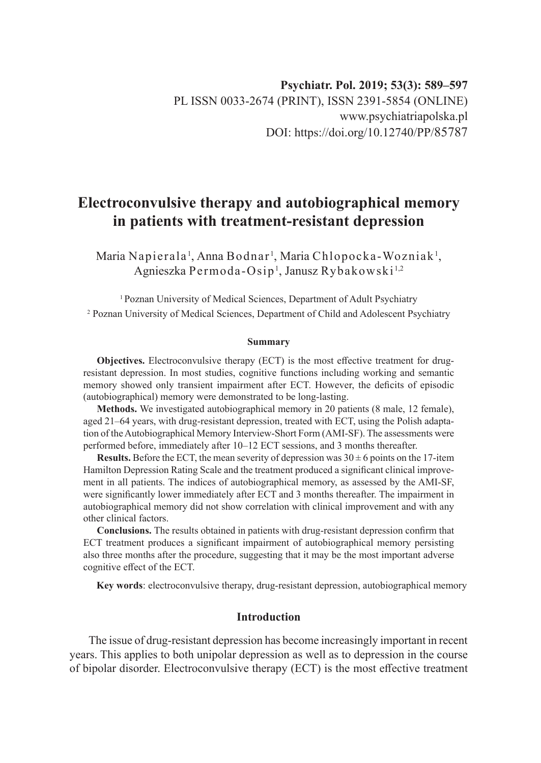# **Electroconvulsive therapy and autobiographical memory in patients with treatment-resistant depression**

Maria Napierala<sup>1</sup>, Anna Bodnar<sup>1</sup>, Maria Chlopocka-Wozniak<sup>1</sup>, Agnieszka Permoda-Osip1 , Janusz Rybakowski 1,2

<sup>1</sup> Poznan University of Medical Sciences, Department of Adult Psychiatry <sup>2</sup> Poznan University of Medical Sciences, Department of Child and Adolescent Psychiatry

#### **Summary**

**Objectives.** Electroconvulsive therapy (ECT) is the most effective treatment for drugresistant depression. In most studies, cognitive functions including working and semantic memory showed only transient impairment after ECT. However, the deficits of episodic (autobiographical) memory were demonstrated to be long-lasting.

**Methods.** We investigated autobiographical memory in 20 patients (8 male, 12 female), aged 21–64 years, with drug-resistant depression, treated with ECT, using the Polish adaptation of the Autobiographical Memory Interview-Short Form (AMI-SF). The assessments were performed before, immediately after 10–12 ECT sessions, and 3 months thereafter.

**Results.** Before the ECT, the mean severity of depression was  $30 \pm 6$  points on the 17-item Hamilton Depression Rating Scale and the treatment produced a significant clinical improvement in all patients. The indices of autobiographical memory, as assessed by the AMI-SF, were significantly lower immediately after ECT and 3 months thereafter. The impairment in autobiographical memory did not show correlation with clinical improvement and with any other clinical factors.

**Conclusions.** The results obtained in patients with drug-resistant depression confirm that ECT treatment produces a significant impairment of autobiographical memory persisting also three months after the procedure, suggesting that it may be the most important adverse cognitive effect of the ECT.

**Key words**: electroconvulsive therapy, drug-resistant depression, autobiographical memory

# **Introduction**

The issue of drug-resistant depression has become increasingly important in recent years. This applies to both unipolar depression as well as to depression in the course of bipolar disorder. Electroconvulsive therapy (ECT) is the most effective treatment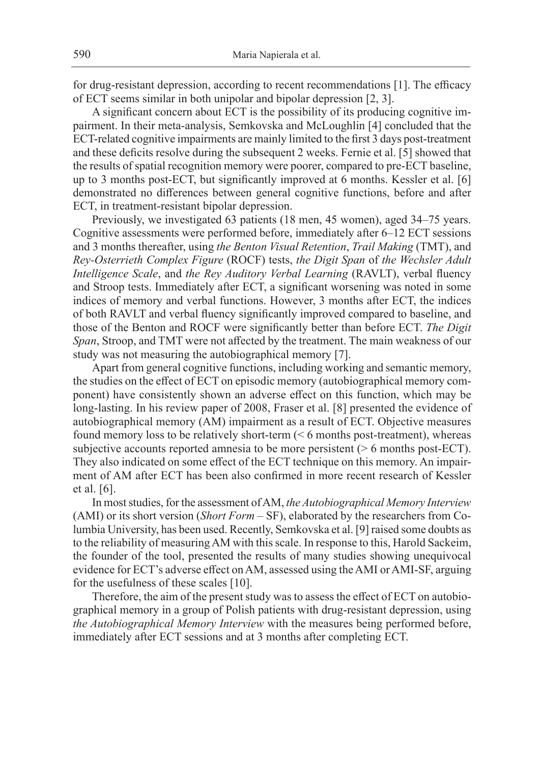for drug-resistant depression, according to recent recommendations [1]. The efficacy of ECT seems similar in both unipolar and bipolar depression [2, 3].

A significant concern about ECT is the possibility of its producing cognitive impairment. In their meta-analysis, Semkovska and McLoughlin [4] concluded that the ECT-related cognitive impairments are mainly limited to the first 3 days post-treatment and these deficits resolve during the subsequent 2 weeks. Fernie et al. [5] showed that the results of spatial recognition memory were poorer, compared to pre-ECT baseline, up to 3 months post-ECT, but significantly improved at 6 months. Kessler et al. [6] demonstrated no differences between general cognitive functions, before and after ECT, in treatment-resistant bipolar depression.

Previously, we investigated 63 patients (18 men, 45 women), aged 34–75 years. Cognitive assessments were performed before, immediately after 6–12 ECT sessions and 3 months thereafter, using *the Benton Visual Retention*, *Trail Making* (TMT), and *Rey-Osterrieth Complex Figure* (ROCF) tests, *the Digit Span* of *the Wechsler Adult Intelligence Scale*, and *the Rey Auditory Verbal Learning* (RAVLT), verbal fluency and Stroop tests. Immediately after ECT, a significant worsening was noted in some indices of memory and verbal functions. However, 3 months after ECT, the indices of both RAVLT and verbal fluency significantly improved compared to baseline, and those of the Benton and ROCF were significantly better than before ECT. *The Digit Span*, Stroop, and TMT were not affected by the treatment. The main weakness of our study was not measuring the autobiographical memory [7].

Apart from general cognitive functions, including working and semantic memory, the studies on the effect of ECT on episodic memory (autobiographical memory component) have consistently shown an adverse effect on this function, which may be long-lasting. In his review paper of 2008, Fraser et al. [8] presented the evidence of autobiographical memory (AM) impairment as a result of ECT. Objective measures found memory loss to be relatively short-term (< 6 months post-treatment), whereas subjective accounts reported amnesia to be more persistent ( $> 6$  months post-ECT). They also indicated on some effect of the ECT technique on this memory. An impairment of AM after ECT has been also confirmed in more recent research of Kessler et al. [6].

In most studies, for the assessment of AM, *the Autobiographical Memory Interview* (AMI) or its short version (*Short Form* – SF), elaborated by the researchers from Columbia University, has been used. Recently, Semkovska et al. [9] raised some doubts as to the reliability of measuring AM with this scale. In response to this, Harold Sackeim, the founder of the tool, presented the results of many studies showing unequivocal evidence for ECT's adverse effect on AM, assessed using the AMI or AMI-SF, arguing for the usefulness of these scales [10].

Therefore, the aim of the present study was to assess the effect of ECT on autobiographical memory in a group of Polish patients with drug-resistant depression, using *the Autobiographical Memory Interview* with the measures being performed before, immediately after ECT sessions and at 3 months after completing ECT.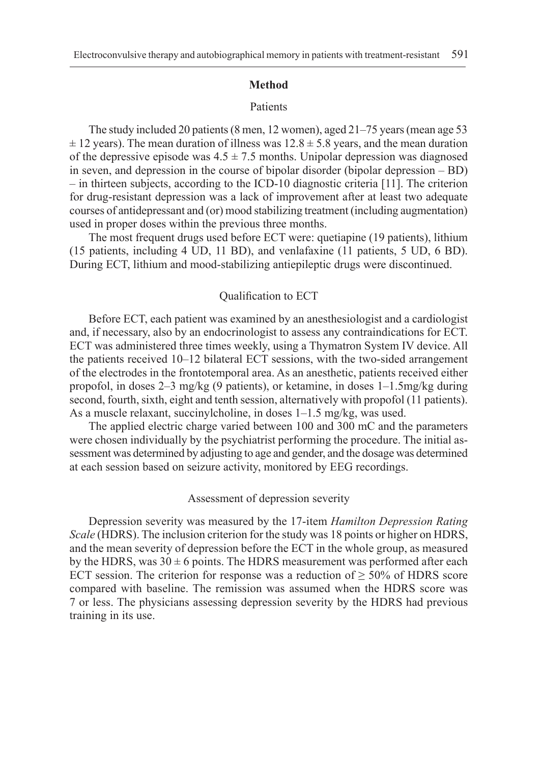#### **Method**

#### Patients

The study included 20 patients (8 men, 12 women), aged 21–75 years (mean age 53  $\pm$  12 years). The mean duration of illness was  $12.8 \pm 5.8$  years, and the mean duration of the depressive episode was  $4.5 \pm 7.5$  months. Unipolar depression was diagnosed in seven, and depression in the course of bipolar disorder (bipolar depression – BD) – in thirteen subjects, according to the ICD-10 diagnostic criteria [11]. The criterion for drug-resistant depression was a lack of improvement after at least two adequate courses of antidepressant and (or) mood stabilizing treatment (including augmentation) used in proper doses within the previous three months.

The most frequent drugs used before ECT were: quetiapine (19 patients), lithium (15 patients, including 4 UD, 11 BD), and venlafaxine (11 patients, 5 UD, 6 BD). During ECT, lithium and mood-stabilizing antiepileptic drugs were discontinued.

#### Qualification to ECT

Before ECT, each patient was examined by an anesthesiologist and a cardiologist and, if necessary, also by an endocrinologist to assess any contraindications for ECT. ECT was administered three times weekly, using a Thymatron System IV device. All the patients received 10–12 bilateral ECT sessions, with the two-sided arrangement of the electrodes in the frontotemporal area. As an anesthetic, patients received either propofol, in doses 2–3 mg/kg (9 patients), or ketamine, in doses 1–1.5mg/kg during second, fourth, sixth, eight and tenth session, alternatively with propofol (11 patients). As a muscle relaxant, succinylcholine, in doses 1–1.5 mg/kg, was used.

The applied electric charge varied between 100 and 300 mC and the parameters were chosen individually by the psychiatrist performing the procedure. The initial assessment was determined by adjusting to age and gender, and the dosage was determined at each session based on seizure activity, monitored by EEG recordings.

## Assessment of depression severity

Depression severity was measured by the 17-item *Hamilton Depression Rating Scale* (HDRS). The inclusion criterion for the study was 18 points or higher on HDRS, and the mean severity of depression before the ECT in the whole group, as measured by the HDRS, was  $30 \pm 6$  points. The HDRS measurement was performed after each ECT session. The criterion for response was a reduction of  $\geq$  50% of HDRS score compared with baseline. The remission was assumed when the HDRS score was 7 or less. The physicians assessing depression severity by the HDRS had previous training in its use.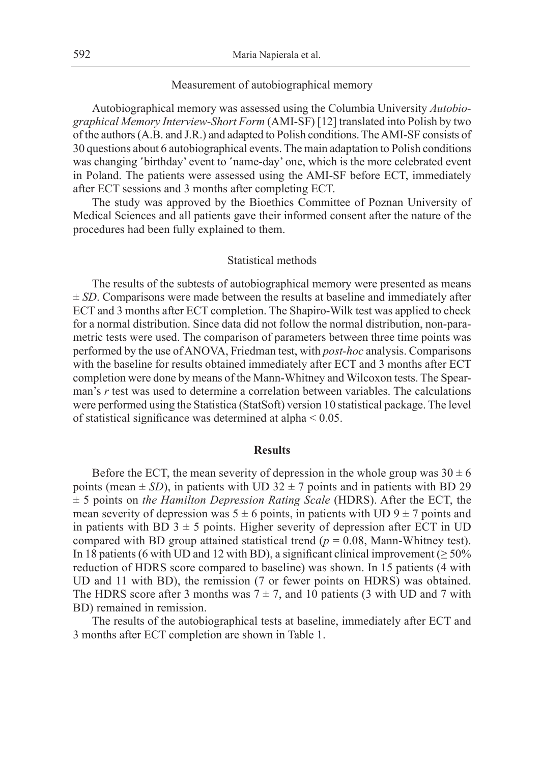#### Measurement of autobiographical memory

Autobiographical memory was assessed using the Columbia University *Autobiographical Memory Interview-Short Form* (AMI-SF) [12] translated into Polish by two of the authors (A.B. and J.R.) and adapted to Polish conditions. The AMI-SF consists of 30 questions about 6 autobiographical events. The main adaptation to Polish conditions was changing 'birthday' event to 'name-day' one, which is the more celebrated event in Poland. The patients were assessed using the AMI-SF before ECT, immediately after ECT sessions and 3 months after completing ECT.

The study was approved by the Bioethics Committee of Poznan University of Medical Sciences and all patients gave their informed consent after the nature of the procedures had been fully explained to them.

#### Statistical methods

The results of the subtests of autobiographical memory were presented as means  $\pm$  *SD*. Comparisons were made between the results at baseline and immediately after ECT and 3 months after ECT completion. The Shapiro-Wilk test was applied to check for a normal distribution. Since data did not follow the normal distribution, non-parametric tests were used. The comparison of parameters between three time points was performed by the use of ANOVA, Friedman test, with *post-hoc* analysis. Comparisons with the baseline for results obtained immediately after ECT and 3 months after ECT completion were done by means of the Mann-Whitney and Wilcoxon tests. The Spearman's *r* test was used to determine a correlation between variables. The calculations were performed using the Statistica (StatSoft) version 10 statistical package. The level of statistical significance was determined at alpha < 0.05.

#### **Results**

Before the ECT, the mean severity of depression in the whole group was  $30 \pm 6$ points (mean  $\pm$  *SD*), in patients with UD 32  $\pm$  7 points and in patients with BD 29 ± 5 points on *the Hamilton Depression Rating Scale* (HDRS). After the ECT, the mean severity of depression was  $5 \pm 6$  points, in patients with UD  $9 \pm 7$  points and in patients with BD  $3 \pm 5$  points. Higher severity of depression after ECT in UD compared with BD group attained statistical trend ( $p = 0.08$ , Mann-Whitney test). In 18 patients (6 with UD and 12 with BD), a significant clinical improvement ( $\geq$  50% reduction of HDRS score compared to baseline) was shown. In 15 patients (4 with UD and 11 with BD), the remission (7 or fewer points on HDRS) was obtained. The HDRS score after 3 months was  $7 \pm 7$ , and 10 patients (3 with UD and 7 with BD) remained in remission.

The results of the autobiographical tests at baseline, immediately after ECT and 3 months after ECT completion are shown in Table 1.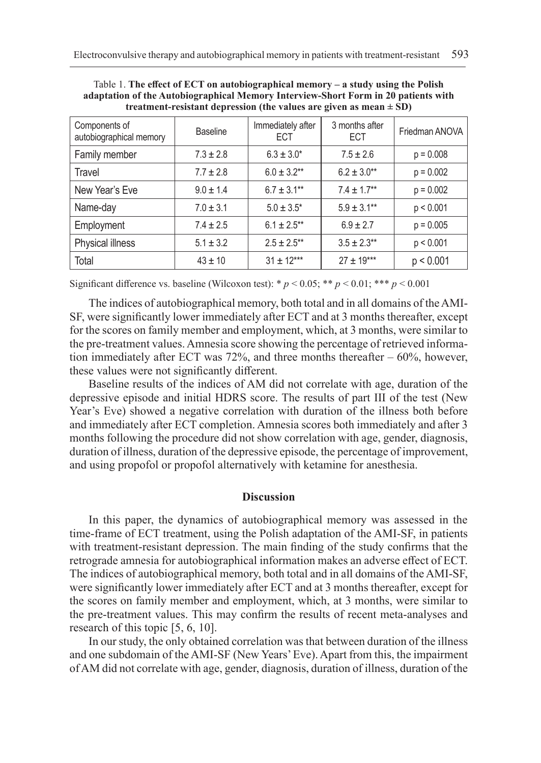| Components of<br>autobiographical memory | <b>Baseline</b> | Immediately after<br><b>ECT</b> | 3 months after<br><b>ECT</b> | Friedman ANOVA |
|------------------------------------------|-----------------|---------------------------------|------------------------------|----------------|
| Family member                            | $7.3 \pm 2.8$   | $6.3 \pm 3.0*$                  | $7.5 \pm 2.6$                | $p = 0.008$    |
| Travel                                   | $7.7 \pm 2.8$   | $6.0 \pm 3.2**$                 | $6.2 \pm 3.0**$              | $p = 0.002$    |
| New Year's Eve                           | $9.0 \pm 1.4$   | $6.7 \pm 3.1***$                | $7.4 \pm 1.7**$              | $p = 0.002$    |
| Name-day                                 | $7.0 \pm 3.1$   | $5.0 \pm 3.5^*$                 | $5.9 \pm 3.1***$             | p < 0.001      |
| Employment                               | $7.4 \pm 2.5$   | $6.1 \pm 2.5***$                | $6.9 \pm 2.7$                | $p = 0.005$    |
| Physical illness                         | $5.1 \pm 3.2$   | $2.5 \pm 2.5$ **                | $3.5 \pm 2.3**$              | p < 0.001      |
| Total                                    | $43 \pm 10$     | $31 \pm 12***$                  | $27 \pm 19***$               | p < 0.001      |

Table 1. **The effect of ECT on autobiographical memory – a study using the Polish adaptation of the Autobiographical Memory Interview-Short Form in 20 patients with treatment-resistant depression (the values are given as mean ± SD)**

Significant difference vs. baseline (Wilcoxon test): \*  $p < 0.05$ ; \*\*  $p < 0.01$ ; \*\*\*  $p < 0.001$ 

The indices of autobiographical memory, both total and in all domains of the AMI-SF, were significantly lower immediately after ECT and at 3 months thereafter, except for the scores on family member and employment, which, at 3 months, were similar to the pre-treatment values. Amnesia score showing the percentage of retrieved information immediately after ECT was 72%, and three months thereafter – 60%, however, these values were not significantly different.

Baseline results of the indices of AM did not correlate with age, duration of the depressive episode and initial HDRS score. The results of part III of the test (New Year's Eve) showed a negative correlation with duration of the illness both before and immediately after ECT completion. Amnesia scores both immediately and after 3 months following the procedure did not show correlation with age, gender, diagnosis, duration of illness, duration of the depressive episode, the percentage of improvement, and using propofol or propofol alternatively with ketamine for anesthesia.

## **Discussion**

In this paper, the dynamics of autobiographical memory was assessed in the time-frame of ECT treatment, using the Polish adaptation of the AMI-SF, in patients with treatment-resistant depression. The main finding of the study confirms that the retrograde amnesia for autobiographical information makes an adverse effect of ECT. The indices of autobiographical memory, both total and in all domains of the AMI-SF, were significantly lower immediately after ECT and at 3 months thereafter, except for the scores on family member and employment, which, at 3 months, were similar to the pre-treatment values. This may confirm the results of recent meta-analyses and research of this topic [5, 6, 10].

In our study, the only obtained correlation was that between duration of the illness and one subdomain of the AMI-SF (New Years' Eve). Apart from this, the impairment of AM did not correlate with age, gender, diagnosis, duration of illness, duration of the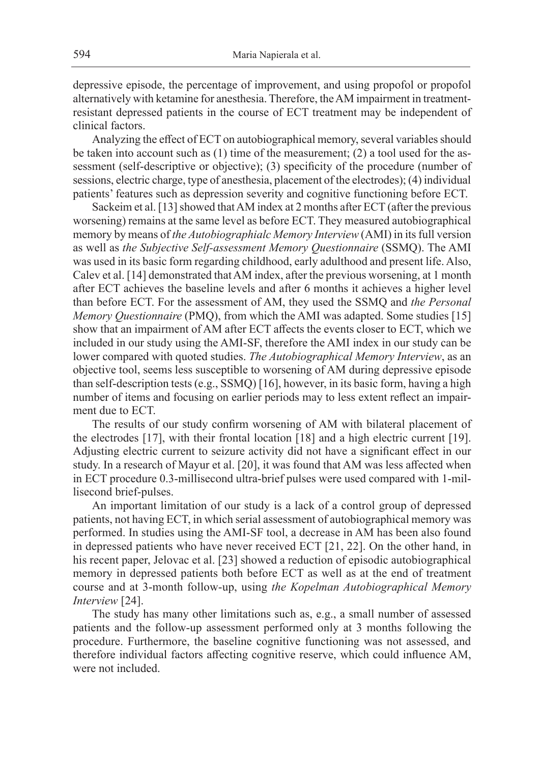depressive episode, the percentage of improvement, and using propofol or propofol alternatively with ketamine for anesthesia. Therefore, the AM impairment in treatmentresistant depressed patients in the course of ECT treatment may be independent of clinical factors.

Analyzing the effect of ECT on autobiographical memory, several variables should be taken into account such as (1) time of the measurement; (2) a tool used for the assessment (self-descriptive or objective); (3) specificity of the procedure (number of sessions, electric charge, type of anesthesia, placement of the electrodes); (4) individual patients' features such as depression severity and cognitive functioning before ECT.

Sackeim et al. [13] showed that AM index at 2 months after ECT (after the previous worsening) remains at the same level as before ECT. They measured autobiographical memory by means of *the Autobiographialc Memory Interview* (AMI) in its full version as well as *the Subjective Self-assessment Memory Questionnaire* (SSMQ). The AMI was used in its basic form regarding childhood, early adulthood and present life. Also, Calev et al. [14] demonstrated that AM index, after the previous worsening, at 1 month after ECT achieves the baseline levels and after 6 months it achieves a higher level than before ECT. For the assessment of AM, they used the SSMQ and *the Personal Memory Questionnaire* (PMQ), from which the AMI was adapted. Some studies [15] show that an impairment of AM after ECT affects the events closer to ECT, which we included in our study using the AMI-SF, therefore the AMI index in our study can be lower compared with quoted studies. *The Autobiographical Memory Interview*, as an objective tool, seems less susceptible to worsening of AM during depressive episode than self-description tests (e.g., SSMQ) [16], however, in its basic form, having a high number of items and focusing on earlier periods may to less extent reflect an impairment due to ECT.

The results of our study confirm worsening of AM with bilateral placement of the electrodes [17], with their frontal location [18] and a high electric current [19]. Adjusting electric current to seizure activity did not have a significant effect in our study. In a research of Mayur et al. [20], it was found that AM was less affected when in ECT procedure 0.3-millisecond ultra-brief pulses were used compared with 1-millisecond brief-pulses.

An important limitation of our study is a lack of a control group of depressed patients, not having ECT, in which serial assessment of autobiographical memory was performed. In studies using the AMI-SF tool, a decrease in AM has been also found in depressed patients who have never received ECT [21, 22]. On the other hand, in his recent paper, Jelovac et al. [23] showed a reduction of episodic autobiographical memory in depressed patients both before ECT as well as at the end of treatment course and at 3-month follow-up, using *the Kopelman Autobiographical Memory Interview* [24].

The study has many other limitations such as, e.g., a small number of assessed patients and the follow-up assessment performed only at 3 months following the procedure. Furthermore, the baseline cognitive functioning was not assessed, and therefore individual factors affecting cognitive reserve, which could influence AM, were not included.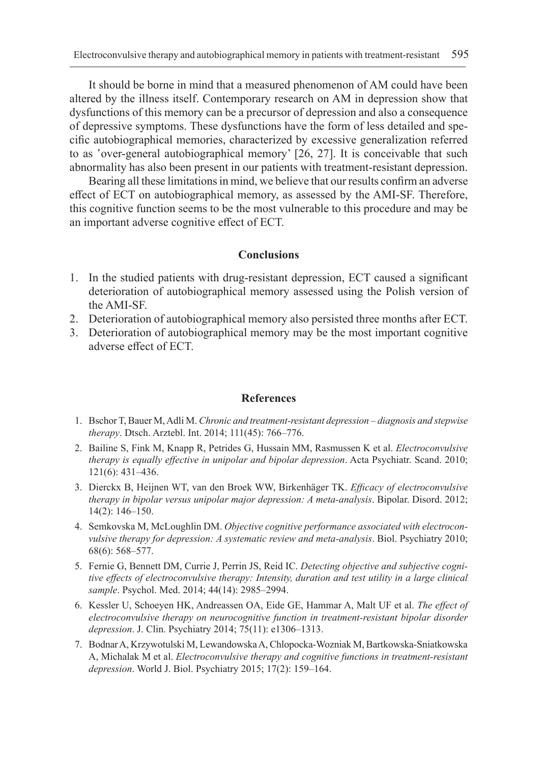It should be borne in mind that a measured phenomenon of AM could have been altered by the illness itself. Contemporary research on AM in depression show that dysfunctions of this memory can be a precursor of depression and also a consequence of depressive symptoms. These dysfunctions have the form of less detailed and specific autobiographical memories, characterized by excessive generalization referred to as 'over-general autobiographical memory' [26, 27]. It is conceivable that such abnormality has also been present in our patients with treatment-resistant depression.

Bearing all these limitations in mind, we believe that our results confirm an adverse effect of ECT on autobiographical memory, as assessed by the AMI-SF. Therefore, this cognitive function seems to be the most vulnerable to this procedure and may be an important adverse cognitive effect of ECT.

## **Conclusions**

- 1. In the studied patients with drug-resistant depression, ECT caused a significant deterioration of autobiographical memory assessed using the Polish version of the AMI-SF.
- 2. Deterioration of autobiographical memory also persisted three months after ECT.
- 3. Deterioration of autobiographical memory may be the most important cognitive adverse effect of ECT.

#### **References**

- 1. Bschor T, Bauer M, Adli M. *Chronic and treatment-resistant depression diagnosis and stepwise therapy*. Dtsch. Arztebl. Int. 2014; 111(45): 766–776.
- 2. Bailine S, Fink M, Knapp R, Petrides G, Hussain MM, Rasmussen K et al. *Electroconvulsive therapy is equally effective in unipolar and bipolar depression*. Acta Psychiatr. Scand. 2010; 121(6): 431–436.
- 3. Dierckx B, Heijnen WT, van den Broek WW, Birkenhäger TK. *Efficacy of electroconvulsive therapy in bipolar versus unipolar major depression: A meta-analysis*. Bipolar. Disord. 2012; 14(2): 146–150.
- 4. Semkovska M, McLoughlin DM. *Objective cognitive performance associated with electroconvulsive therapy for depression: A systematic review and meta-analysis*. Biol. Psychiatry 2010; 68(6): 568–577.
- 5. Fernie G, Bennett DM, Currie J, Perrin JS, Reid IC. *Detecting objective and subjective cognitive effects of electroconvulsive therapy: Intensity, duration and test utility in a large clinical sample*. Psychol. Med. 2014; 44(14): 2985–2994.
- 6. Kessler U, Schoeyen HK, Andreassen OA, Eide GE, Hammar A, Malt UF et al. *The effect of electroconvulsive therapy on neurocognitive function in treatment-resistant bipolar disorder depression*. J. Clin. Psychiatry 2014; 75(11): e1306–1313.
- 7. Bodnar A, Krzywotulski M, Lewandowska A, Chlopocka-Wozniak M, Bartkowska-Sniatkowska A, Michalak M et al. *Electroconvulsive therapy and cognitive functions in treatment-resistant depression*. World J. Biol. Psychiatry 2015; 17(2): 159–164.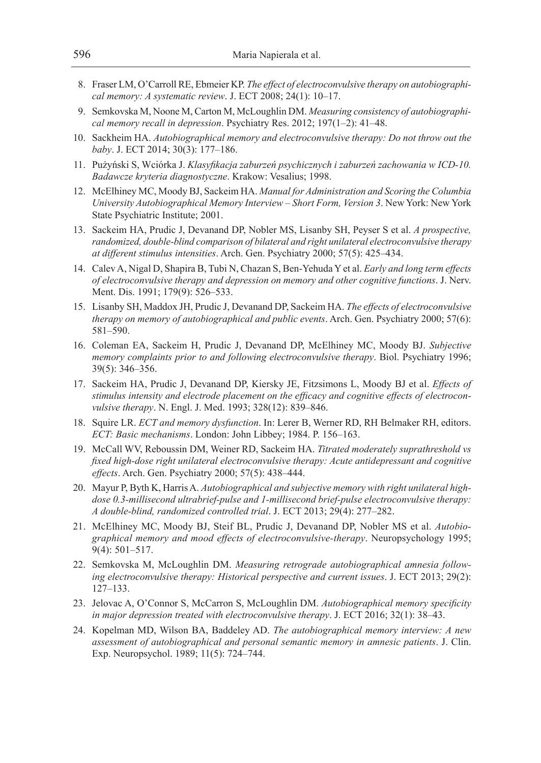- 8. Fraser LM, O'Carroll RE, Ebmeier KP. *The effect of electroconvulsive therapy on autobiographical memory: A systematic review*. J. ECT 2008; 24(1): 10–17.
- 9. Semkovska M, Noone M, Carton M, McLoughlin DM. *Measuring consistency of autobiographical memory recall in depression*. Psychiatry Res. 2012; 197(1–2): 41–48.
- 10. Sackheim HA. *Autobiographical memory and electroconvulsive therapy: Do not throw out the baby*. J. ECT 2014; 30(3): 177–186.
- 11. Pużyński S, Wciórka J. *Klasyfikacja zaburzeń psychicznych i zaburzeń zachowania w ICD-10. Badawcze kryteria diagnostyczne*. Krakow: Vesalius; 1998.
- 12. McElhiney MC, Moody BJ, Sackeim HA. *Manual for Administration and Scoring the Columbia University Autobiographical Memory Interview – Short Form, Version 3*. New York: New York State Psychiatric Institute; 2001.
- 13. Sackeim HA, Prudic J, Devanand DP, Nobler MS, Lisanby SH, Peyser S et al. *A prospective, randomized, double-blind comparison of bilateral and right unilateral electroconvulsive therapy at different stimulus intensities*. Arch. Gen. Psychiatry 2000; 57(5): 425–434.
- 14. Calev A, Nigal D, Shapira B, Tubi N, Chazan S, Ben-Yehuda Y et al. *Early and long term effects of electroconvulsive therapy and depression on memory and other cognitive functions*. J. Nerv. Ment. Dis. 1991; 179(9): 526–533.
- 15. Lisanby SH, Maddox JH, Prudic J, Devanand DP, Sackeim HA. *The effects of electroconvulsive therapy on memory of autobiographical and public events*. Arch. Gen. Psychiatry 2000; 57(6): 581–590.
- 16. Coleman EA, Sackeim H, Prudic J, Devanand DP, McElhiney MC, Moody BJ. *Subjective memory complaints prior to and following electroconvulsive therapy*. Biol. Psychiatry 1996; 39(5): 346–356.
- 17. Sackeim HA, Prudic J, Devanand DP, Kiersky JE, Fitzsimons L, Moody BJ et al. *Effects of stimulus intensity and electrode placement on the efficacy and cognitive effects of electroconvulsive therapy*. N. Engl. J. Med. 1993; 328(12): 839–846.
- 18. Squire LR. *ECT and memory dysfunction*. In: Lerer B, Werner RD, RH Belmaker RH, editors. *ECT: Basic mechanisms*. London: John Libbey; 1984. P. 156–163.
- 19. McCall WV, Reboussin DM, Weiner RD, Sackeim HA. *Titrated moderately suprathreshold vs fixed high-dose right unilateral electroconvulsive therapy: Acute antidepressant and cognitive effects*. Arch. Gen. Psychiatry 2000; 57(5): 438–444.
- 20. Mayur P, Byth K, Harris A. *Autobiographical and subjective memory with right unilateral highdose 0.3-millisecond ultrabrief-pulse and 1-millisecond brief-pulse electroconvulsive therapy: A double-blind, randomized controlled trial*. J. ECT 2013; 29(4): 277–282.
- 21. McElhiney MC, Moody BJ, Steif BL, Prudic J, Devanand DP, Nobler MS et al. *Autobiographical memory and mood effects of electroconvulsive-therapy*. Neuropsychology 1995; 9(4): 501–517.
- 22. Semkovska M, McLoughlin DM. *Measuring retrograde autobiographical amnesia following electroconvulsive therapy: Historical perspective and current issues*. J. ECT 2013; 29(2): 127–133.
- 23. Jelovac A, O'Connor S, McCarron S, McLoughlin DM. *Autobiographical memory specificity in major depression treated with electroconvulsive therapy*. J. ECT 2016; 32(1): 38–43.
- 24. Kopelman MD, Wilson BA, Baddeley AD. *The autobiographical memory interview: A new assessment of autobiographical and personal semantic memory in amnesic patients*. J. Clin. Exp. Neuropsychol. 1989; 11(5): 724–744.